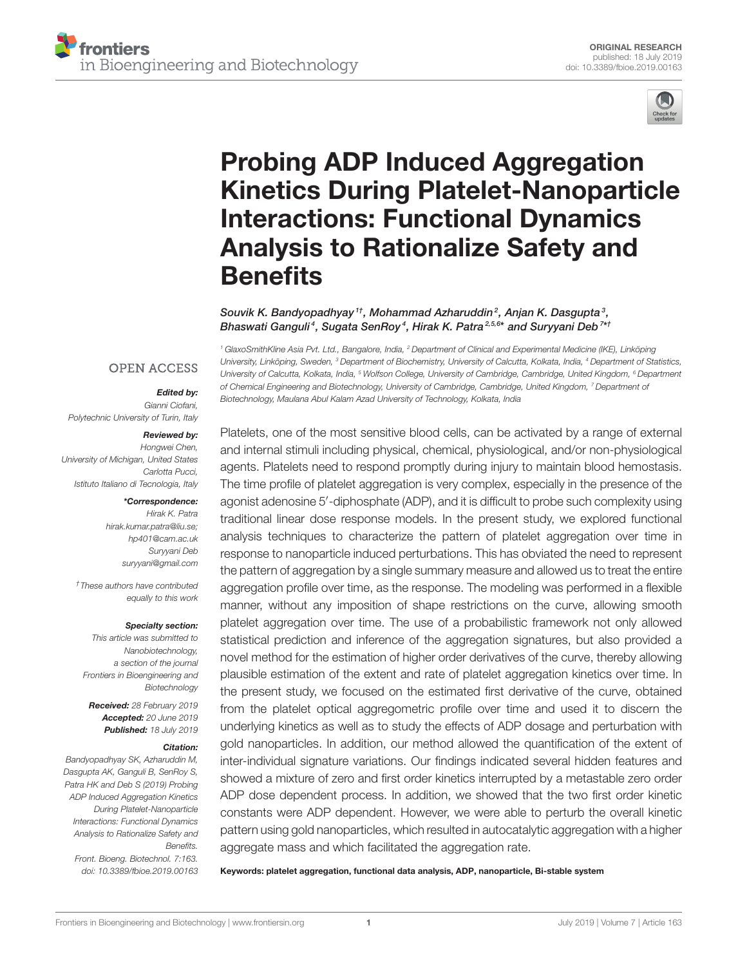

# Probing ADP Induced Aggregation [Kinetics During Platelet-Nanoparticle](https://www.frontiersin.org/articles/10.3389/fbioe.2019.00163/full) Interactions: Functional Dynamics Analysis to Rationalize Safety and **Benefits**

Souvik K. Bandyopadhyay  $^{1\dagger}$ , Mohammad Azharuddin $^2$ , Anjan K. Dasgupta $^3$ , Bhaswati Ganguli<sup>4</sup>, Sugata SenRoy<sup>4</sup>, [Hirak K. Patra](http://loop.frontiersin.org/people/225514/overview)<sup>2,5,6</sup>\* and [Suryyani Deb](http://loop.frontiersin.org/people/695843/overview)<sup>7\*†</sup>

<sup>1</sup> GlaxoSmithKline Asia Pvt. Ltd., Bangalore, India, <sup>2</sup> Department of Clinical and Experimental Medicine (IKE), Linköping University, Linköping, Sweden, <sup>3</sup> Department of Biochemistry, University of Calcutta, Kolkata, India, <sup>4</sup> Department of Statistics, University of Calcutta, Kolkata, India, <sup>5</sup> Wolfson College, University of Cambridge, Cambridge, United Kingdom, <sup>6</sup> Department of Chemical Engineering and Biotechnology, University of Cambridge, Cambridge, United Kingdom, <sup>7</sup> Department of Biotechnology, Maulana Abul Kalam Azad University of Technology, Kolkata, India

## **OPEN ACCESS**

#### Edited by:

Gianni Ciofani, Polytechnic University of Turin, Italy

#### Reviewed by:

Hongwei Chen, University of Michigan, United States Carlotta Pucci, Istituto Italiano di Tecnologia, Italy

#### \*Correspondence:

Hirak K. Patra [hirak.kumar.patra@liu.se;](mailto:hirak.kumar.patra@liu.se) [hp401@cam.ac.uk](mailto:hp401@cam.ac.uk) Suryyani Deb [suryyani@gmail.com](mailto:suryyani@gmail.com)

†These authors have contributed equally to this work

#### Specialty section:

This article was submitted to Nanobiotechnology, a section of the journal Frontiers in Bioengineering and Biotechnology

Received: 28 February 2019 Accepted: 20 June 2019 Published: 18 July 2019

#### Citation:

Bandyopadhyay SK, Azharuddin M, Dasgupta AK, Ganguli B, SenRoy S, Patra HK and Deb S (2019) Probing ADP Induced Aggregation Kinetics During Platelet-Nanoparticle Interactions: Functional Dynamics Analysis to Rationalize Safety and Benefits.

Front. Bioeng. Biotechnol. 7:163. doi: [10.3389/fbioe.2019.00163](https://doi.org/10.3389/fbioe.2019.00163) Platelets, one of the most sensitive blood cells, can be activated by a range of external and internal stimuli including physical, chemical, physiological, and/or non-physiological agents. Platelets need to respond promptly during injury to maintain blood hemostasis. The time profile of platelet aggregation is very complex, especially in the presence of the agonist adenosine 5′ -diphosphate (ADP), and it is difficult to probe such complexity using traditional linear dose response models. In the present study, we explored functional analysis techniques to characterize the pattern of platelet aggregation over time in response to nanoparticle induced perturbations. This has obviated the need to represent the pattern of aggregation by a single summary measure and allowed us to treat the entire aggregation profile over time, as the response. The modeling was performed in a flexible manner, without any imposition of shape restrictions on the curve, allowing smooth platelet aggregation over time. The use of a probabilistic framework not only allowed statistical prediction and inference of the aggregation signatures, but also provided a novel method for the estimation of higher order derivatives of the curve, thereby allowing plausible estimation of the extent and rate of platelet aggregation kinetics over time. In the present study, we focused on the estimated first derivative of the curve, obtained from the platelet optical aggregometric profile over time and used it to discern the underlying kinetics as well as to study the effects of ADP dosage and perturbation with gold nanoparticles. In addition, our method allowed the quantification of the extent of inter-individual signature variations. Our findings indicated several hidden features and showed a mixture of zero and first order kinetics interrupted by a metastable zero order ADP dose dependent process. In addition, we showed that the two first order kinetic constants were ADP dependent. However, we were able to perturb the overall kinetic pattern using gold nanoparticles, which resulted in autocatalytic aggregation with a higher aggregate mass and which facilitated the aggregation rate.

Keywords: platelet aggregation, functional data analysis, ADP, nanoparticle, Bi-stable system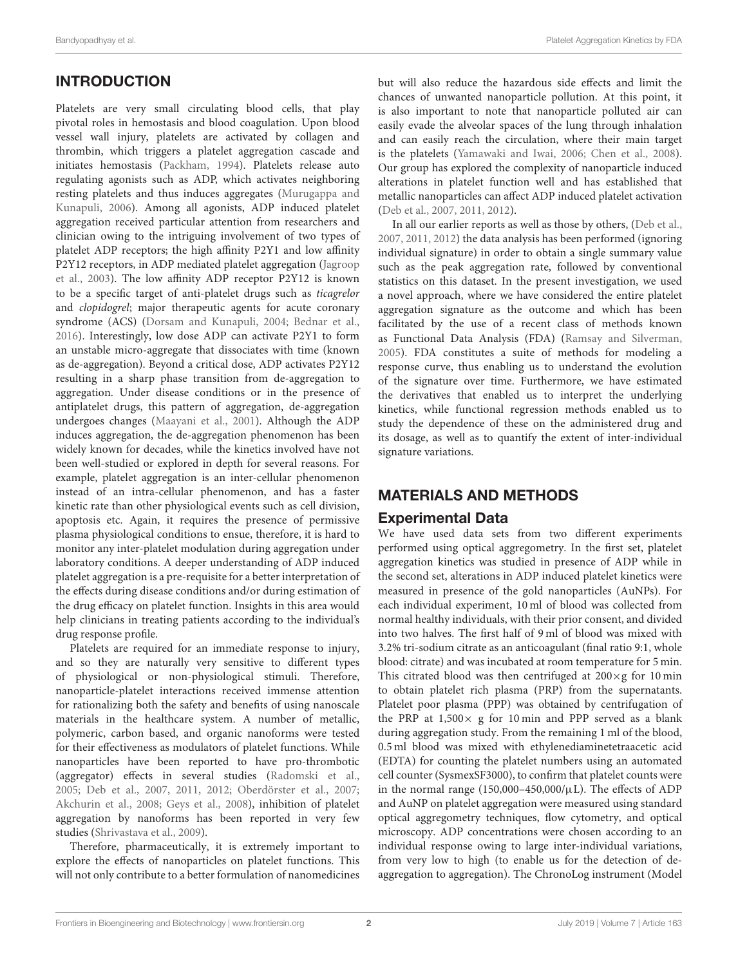# INTRODUCTION

Platelets are very small circulating blood cells, that play pivotal roles in hemostasis and blood coagulation. Upon blood vessel wall injury, platelets are activated by collagen and thrombin, which triggers a platelet aggregation cascade and initiates hemostasis [\(Packham, 1994\)](#page-10-0). Platelets release auto regulating agonists such as ADP, which activates neighboring resting platelets and thus induces aggregates (Murugappa and Kunapuli, [2006\)](#page-9-0). Among all agonists, ADP induced platelet aggregation received particular attention from researchers and clinician owing to the intriguing involvement of two types of platelet ADP receptors; the high affinity P2Y1 and low affinity P2Y12 receptors, in ADP mediated platelet aggregation (Jagroop et al., [2003\)](#page-9-1). The low affinity ADP receptor P2Y12 is known to be a specific target of anti-platelet drugs such as ticagrelor and clopidogrel; major therapeutic agents for acute coronary syndrome (ACS) [\(Dorsam and Kunapuli, 2004;](#page-9-2) [Bednar et al.,](#page-9-3) [2016\)](#page-9-3). Interestingly, low dose ADP can activate P2Y1 to form an unstable micro-aggregate that dissociates with time (known as de-aggregation). Beyond a critical dose, ADP activates P2Y12 resulting in a sharp phase transition from de-aggregation to aggregation. Under disease conditions or in the presence of antiplatelet drugs, this pattern of aggregation, de-aggregation undergoes changes [\(Maayani et al., 2001\)](#page-9-4). Although the ADP induces aggregation, the de-aggregation phenomenon has been widely known for decades, while the kinetics involved have not been well-studied or explored in depth for several reasons. For example, platelet aggregation is an inter-cellular phenomenon instead of an intra-cellular phenomenon, and has a faster kinetic rate than other physiological events such as cell division, apoptosis etc. Again, it requires the presence of permissive plasma physiological conditions to ensue, therefore, it is hard to monitor any inter-platelet modulation during aggregation under laboratory conditions. A deeper understanding of ADP induced platelet aggregation is a pre-requisite for a better interpretation of the effects during disease conditions and/or during estimation of the drug efficacy on platelet function. Insights in this area would help clinicians in treating patients according to the individual's drug response profile.

Platelets are required for an immediate response to injury, and so they are naturally very sensitive to different types of physiological or non-physiological stimuli. Therefore, nanoparticle-platelet interactions received immense attention for rationalizing both the safety and benefits of using nanoscale materials in the healthcare system. A number of metallic, polymeric, carbon based, and organic nanoforms were tested for their effectiveness as modulators of platelet functions. While nanoparticles have been reported to have pro-thrombotic (aggregator) effects in several studies [\(Radomski et al.,](#page-10-1) [2005;](#page-10-1) [Deb et al., 2007,](#page-9-5) [2011,](#page-9-6) [2012;](#page-9-7) [Oberdörster et al., 2007;](#page-9-8) [Akchurin et al., 2008;](#page-9-9) [Geys et al., 2008\)](#page-9-10), inhibition of platelet aggregation by nanoforms has been reported in very few studies [\(Shrivastava et al., 2009\)](#page-10-2).

Therefore, pharmaceutically, it is extremely important to explore the effects of nanoparticles on platelet functions. This will not only contribute to a better formulation of nanomedicines but will also reduce the hazardous side effects and limit the chances of unwanted nanoparticle pollution. At this point, it is also important to note that nanoparticle polluted air can easily evade the alveolar spaces of the lung through inhalation and can easily reach the circulation, where their main target is the platelets [\(Yamawaki and Iwai, 2006;](#page-10-3) [Chen et al., 2008\)](#page-9-11). Our group has explored the complexity of nanoparticle induced alterations in platelet function well and has established that metallic nanoparticles can affect ADP induced platelet activation [\(Deb et al., 2007,](#page-9-5) [2011,](#page-9-6) [2012\)](#page-9-7).

In all our earlier reports as well as those by others, [\(Deb et al.,](#page-9-5) [2007,](#page-9-5) [2011,](#page-9-6) [2012\)](#page-9-7) the data analysis has been performed (ignoring individual signature) in order to obtain a single summary value such as the peak aggregation rate, followed by conventional statistics on this dataset. In the present investigation, we used a novel approach, where we have considered the entire platelet aggregation signature as the outcome and which has been facilitated by the use of a recent class of methods known as Functional Data Analysis (FDA) [\(Ramsay and Silverman,](#page-10-4) [2005\)](#page-10-4). FDA constitutes a suite of methods for modeling a response curve, thus enabling us to understand the evolution of the signature over time. Furthermore, we have estimated the derivatives that enabled us to interpret the underlying kinetics, while functional regression methods enabled us to study the dependence of these on the administered drug and its dosage, as well as to quantify the extent of inter-individual signature variations.

## MATERIALS AND METHODS

## Experimental Data

We have used data sets from two different experiments performed using optical aggregometry. In the first set, platelet aggregation kinetics was studied in presence of ADP while in the second set, alterations in ADP induced platelet kinetics were measured in presence of the gold nanoparticles (AuNPs). For each individual experiment, 10 ml of blood was collected from normal healthy individuals, with their prior consent, and divided into two halves. The first half of 9 ml of blood was mixed with 3.2% tri-sodium citrate as an anticoagulant (final ratio 9:1, whole blood: citrate) and was incubated at room temperature for 5 min. This citrated blood was then centrifuged at  $200 \times g$  for 10 min to obtain platelet rich plasma (PRP) from the supernatants. Platelet poor plasma (PPP) was obtained by centrifugation of the PRP at  $1,500 \times g$  for 10 min and PPP served as a blank during aggregation study. From the remaining 1 ml of the blood, 0.5 ml blood was mixed with ethylenediaminetetraacetic acid (EDTA) for counting the platelet numbers using an automated cell counter (SysmexSF3000), to confirm that platelet counts were in the normal range (150,000-450,000/ $\mu$ L). The effects of ADP and AuNP on platelet aggregation were measured using standard optical aggregometry techniques, flow cytometry, and optical microscopy. ADP concentrations were chosen according to an individual response owing to large inter-individual variations, from very low to high (to enable us for the detection of deaggregation to aggregation). The ChronoLog instrument (Model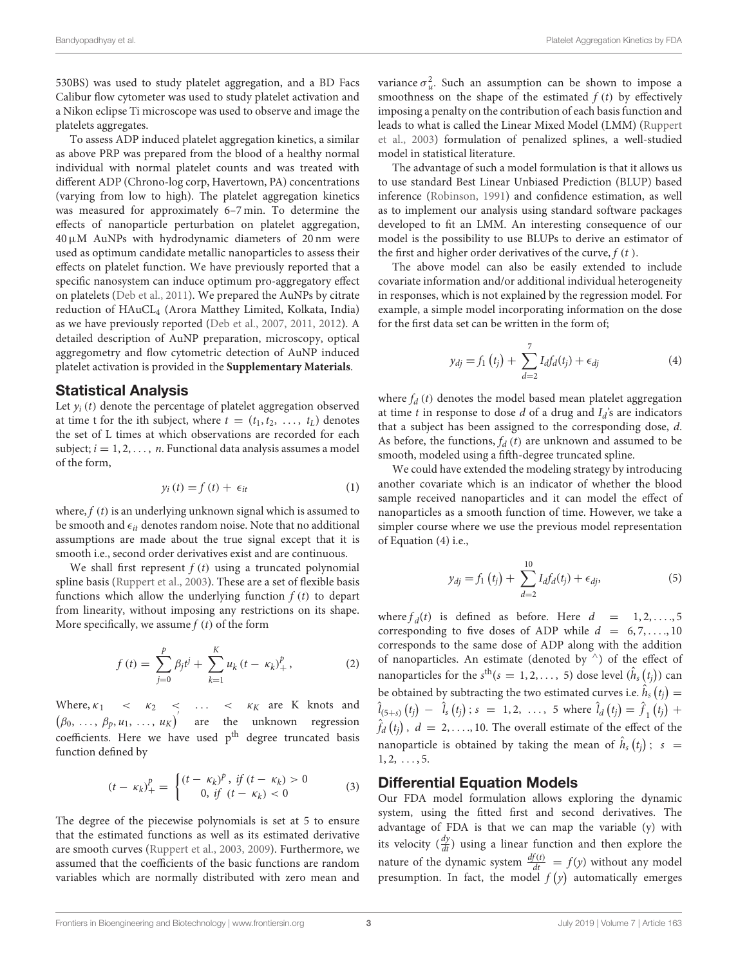530BS) was used to study platelet aggregation, and a BD Facs Calibur flow cytometer was used to study platelet activation and a Nikon eclipse Ti microscope was used to observe and image the platelets aggregates.

To assess ADP induced platelet aggregation kinetics, a similar as above PRP was prepared from the blood of a healthy normal individual with normal platelet counts and was treated with different ADP (Chrono-log corp, Havertown, PA) concentrations (varying from low to high). The platelet aggregation kinetics was measured for approximately 6–7 min. To determine the effects of nanoparticle perturbation on platelet aggregation,  $40 \mu$ M AuNPs with hydrodynamic diameters of 20 nm were used as optimum candidate metallic nanoparticles to assess their effects on platelet function. We have previously reported that a specific nanosystem can induce optimum pro-aggregatory effect on platelets [\(Deb et al., 2011\)](#page-9-6). We prepared the AuNPs by citrate reduction of HAuCL<sup>4</sup> (Arora Matthey Limited, Kolkata, India) as we have previously reported [\(Deb et al., 2007,](#page-9-5) [2011,](#page-9-6) [2012\)](#page-9-7). A detailed description of AuNP preparation, microscopy, optical aggregometry and flow cytometric detection of AuNP induced platelet activation is provided in the **[Supplementary Materials](#page-9-12)**.

#### Statistical Analysis

Let  $y_i(t)$  denote the percentage of platelet aggregation observed at time t for the ith subject, where  $t = (t_1, t_2, \ldots, t_L)$  denotes the set of L times at which observations are recorded for each subject;  $i = 1, 2, ..., n$ . Functional data analysis assumes a model of the form,

$$
y_i(t) = f(t) + \epsilon_{it} \tag{1}
$$

where,  $f(t)$  is an underlying unknown signal which is assumed to be smooth and  $\epsilon_{it}$  denotes random noise. Note that no additional assumptions are made about the true signal except that it is smooth i.e., second order derivatives exist and are continuous.

We shall first represent  $f(t)$  using a truncated polynomial spline basis [\(Ruppert et al., 2003\)](#page-10-5). These are a set of flexible basis functions which allow the underlying function  $f(t)$  to depart from linearity, without imposing any restrictions on its shape. More specifically, we assume  $f(t)$  of the form

$$
f(t) = \sum_{j=0}^{p} \beta_j t^j + \sum_{k=1}^{K} u_k (t - \kappa_k)_+^p, \qquad (2)
$$

Where,  $\kappa_1$  <  $\kappa_2$  < ... <  $\kappa_K$  are K knots and  $(\beta_0, \ldots, \beta_p, u_1, \ldots, u_K)$  are the unknown regression coefficients. Here we have used  $p<sup>th</sup>$  degree truncated basis function defined by

$$
(t - \kappa_k)_{+}^{p} = \begin{cases} (t - \kappa_k)^p, & \text{if } (t - \kappa_k) > 0 \\ 0, & \text{if } (t - \kappa_k) < 0 \end{cases}
$$
 (3)

The degree of the piecewise polynomials is set at 5 to ensure that the estimated functions as well as its estimated derivative are smooth curves [\(Ruppert et al., 2003,](#page-10-5) [2009\)](#page-10-6). Furthermore, we assumed that the coefficients of the basic functions are random variables which are normally distributed with zero mean and

variance  $\sigma_u^2$ . Such an assumption can be shown to impose a smoothness on the shape of the estimated  $f(t)$  by effectively imposing a penalty on the contribution of each basis function and leads to what is called the Linear Mixed Model (LMM) (Ruppert et al., [2003\)](#page-10-5) formulation of penalized splines, a well-studied model in statistical literature.

The advantage of such a model formulation is that it allows us to use standard Best Linear Unbiased Prediction (BLUP) based inference [\(Robinson, 1991\)](#page-10-7) and confidence estimation, as well as to implement our analysis using standard software packages developed to fit an LMM. An interesting consequence of our model is the possibility to use BLUPs to derive an estimator of the first and higher order derivatives of the curve,  $f(t)$ .

The above model can also be easily extended to include covariate information and/or additional individual heterogeneity in responses, which is not explained by the regression model. For example, a simple model incorporating information on the dose for the first data set can be written in the form of;

$$
y_{dj} = f_1(t_j) + \sum_{d=2}^{7} I_d f_d(t_j) + \epsilon_{dj}
$$
 (4)

where  $f_d(t)$  denotes the model based mean platelet aggregation at time t in response to dose  $d$  of a drug and  $I_d$ 's are indicators that a subject has been assigned to the corresponding dose, d. As before, the functions,  $f_d(t)$  are unknown and assumed to be smooth, modeled using a fifth-degree truncated spline.

We could have extended the modeling strategy by introducing another covariate which is an indicator of whether the blood sample received nanoparticles and it can model the effect of nanoparticles as a smooth function of time. However, we take a simpler course where we use the previous model representation of Equation (4) i.e.,

$$
y_{dj} = f_1(t_j) + \sum_{d=2}^{10} I_d f_d(t_j) + \epsilon_{dj},
$$
 (5)

where  $f_d(t)$  is defined as before. Here  $d = 1, 2, ..., 5$ corresponding to five doses of ADP while  $d = 6, 7, \ldots, 10$ corresponds to the same dose of ADP along with the addition of nanoparticles. An estimate (denoted by <sup>∧</sup>) of the effect of nanoparticles for the  $s^{\text{th}}(s = 1, 2, ..., 5)$  dose level  $(\hat{h}_s(t_j))$  can be obtained by subtracting the two estimated curves i.e.  $\hat{h}_s(t_j) =$  $\hat{l}_{(5+s)}(t_j) - \hat{l}_{s}(t_j)$ ;  $s = 1, 2, ..., 5$  where  $\hat{l}_d(t_j) = \hat{f}_1(t_j) +$  $\hat{f}_{d}\left(t_{j}\right),\;d\,=\,2,\ldots,10.$  The overall estimate of the effect of the nanoparticle is obtained by taking the mean of  $\hat{h}_s(t_j)$ ; s =  $1, 2, \ldots, 5.$ 

#### Differential Equation Models

Our FDA model formulation allows exploring the dynamic system, using the fitted first and second derivatives. The advantage of FDA is that we can map the variable (y) with its velocity  $\left(\frac{dy}{dt}\right)$  using a linear function and then explore the nature of the dynamic system  $\frac{df(t)}{dt} = f(y)$  without any model presumption. In fact, the model  $f(y)$  automatically emerges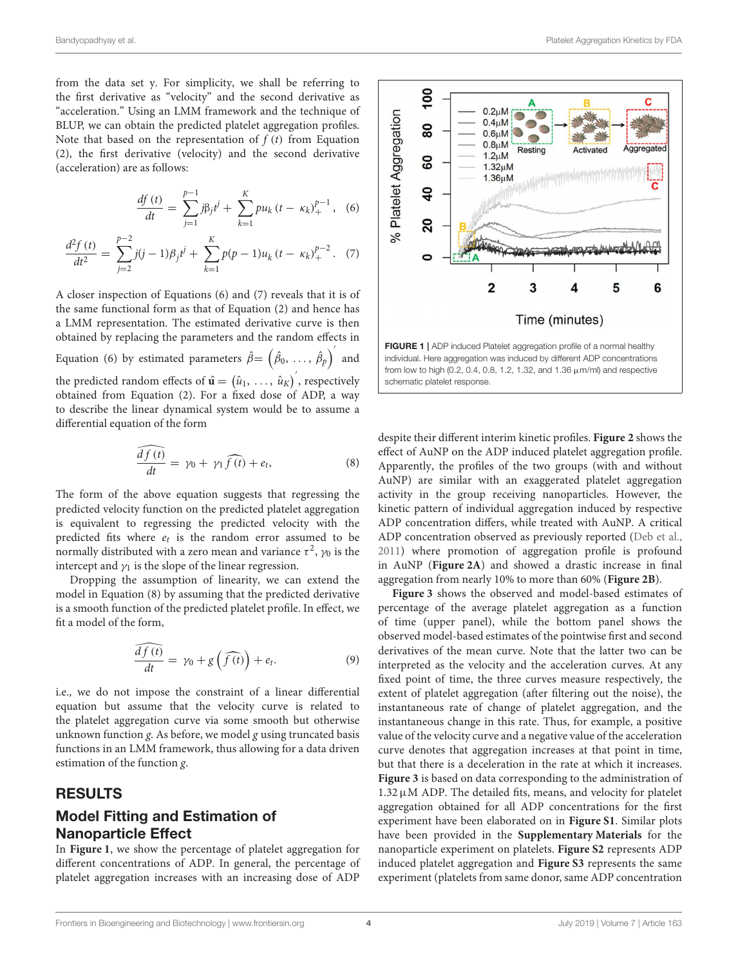from the data set y. For simplicity, we shall be referring to the first derivative as "velocity" and the second derivative as "acceleration." Using an LMM framework and the technique of BLUP, we can obtain the predicted platelet aggregation profiles. Note that based on the representation of  $f(t)$  from Equation (2), the first derivative (velocity) and the second derivative (acceleration) are as follows:

$$
\frac{df(t)}{dt} = \sum_{j=1}^{p-1} j\beta_j t^j + \sum_{k=1}^{K} p u_k (t - \kappa_k)_+^{p-1}, \quad (6)
$$

$$
\frac{d^2 f(t)}{dt^2} = \sum_{j=2}^{p-2} j(j-1)\beta_j t^j + \sum_{k=1}^{K} p(p-1)u_k (t - \kappa_k)_+^{p-2}.
$$
 (7)

A closer inspection of Equations (6) and (7) reveals that it is of the same functional form as that of Equation (2) and hence has a LMM representation. The estimated derivative curve is then obtained by replacing the parameters and the random effects in Equation (6) by estimated parameters  $\hat{\beta} = (\hat{\beta}_0, \ldots, \hat{\beta}_p)^T$  and the predicted random effects of  $\hat{\mathbf{u}} = (\hat{u}_1, \ldots, \hat{u}_K)^{'}$ , respectively obtained from Equation (2). For a fixed dose of ADP, a way to describe the linear dynamical system would be to assume a differential equation of the form

$$
\frac{\widehat{df(t)}}{dt} = \gamma_0 + \gamma_1 \widehat{f(t)} + e_t, \tag{8}
$$

The form of the above equation suggests that regressing the predicted velocity function on the predicted platelet aggregation is equivalent to regressing the predicted velocity with the predicted fits where  $e_t$  is the random error assumed to be normally distributed with a zero mean and variance  $\tau^2$ ,  $\gamma_0$  is the intercept and  $\gamma_1$  is the slope of the linear regression.

Dropping the assumption of linearity, we can extend the model in Equation (8) by assuming that the predicted derivative is a smooth function of the predicted platelet profile. In effect, we fit a model of the form,

$$
\widehat{\frac{df(t)}{dt}} = \gamma_0 + g\left(\widehat{f(t)}\right) + e_t.
$$
\n(9)

i.e., we do not impose the constraint of a linear differential equation but assume that the velocity curve is related to the platelet aggregation curve via some smooth but otherwise unknown function g. As before, we model g using truncated basis functions in an LMM framework, thus allowing for a data driven estimation of the function g.

#### RESULTS

# Model Fitting and Estimation of Nanoparticle Effect

In **[Figure 1](#page-3-0)**, we show the percentage of platelet aggregation for different concentrations of ADP. In general, the percentage of platelet aggregation increases with an increasing dose of ADP



despite their different interim kinetic profiles. **[Figure 2](#page-4-0)** shows the effect of AuNP on the ADP induced platelet aggregation profile. Apparently, the profiles of the two groups (with and without AuNP) are similar with an exaggerated platelet aggregation activity in the group receiving nanoparticles. However, the kinetic pattern of individual aggregation induced by respective ADP concentration differs, while treated with AuNP. A critical ADP concentration observed as previously reported [\(Deb et al.,](#page-9-6) [2011\)](#page-9-6) where promotion of aggregation profile is profound in AuNP (**[Figure 2A](#page-4-0)**) and showed a drastic increase in final aggregation from nearly 10% to more than 60% (**[Figure 2B](#page-4-0)**).

<span id="page-3-0"></span>schematic platelet response.

**[Figure 3](#page-4-1)** shows the observed and model-based estimates of percentage of the average platelet aggregation as a function of time (upper panel), while the bottom panel shows the observed model-based estimates of the pointwise first and second derivatives of the mean curve. Note that the latter two can be interpreted as the velocity and the acceleration curves. At any fixed point of time, the three curves measure respectively, the extent of platelet aggregation (after filtering out the noise), the instantaneous rate of change of platelet aggregation, and the instantaneous change in this rate. Thus, for example, a positive value of the velocity curve and a negative value of the acceleration curve denotes that aggregation increases at that point in time, but that there is a deceleration in the rate at which it increases. **[Figure 3](#page-4-1)** is based on data corresponding to the administration of  $1.32 \mu$ M ADP. The detailed fits, means, and velocity for platelet aggregation obtained for all ADP concentrations for the first experiment have been elaborated on in **[Figure S1](#page-9-12)**. Similar plots have been provided in the **[Supplementary Materials](#page-9-12)** for the nanoparticle experiment on platelets. **[Figure S2](#page-9-12)** represents ADP induced platelet aggregation and **[Figure S3](#page-9-12)** represents the same experiment (platelets from same donor, same ADP concentration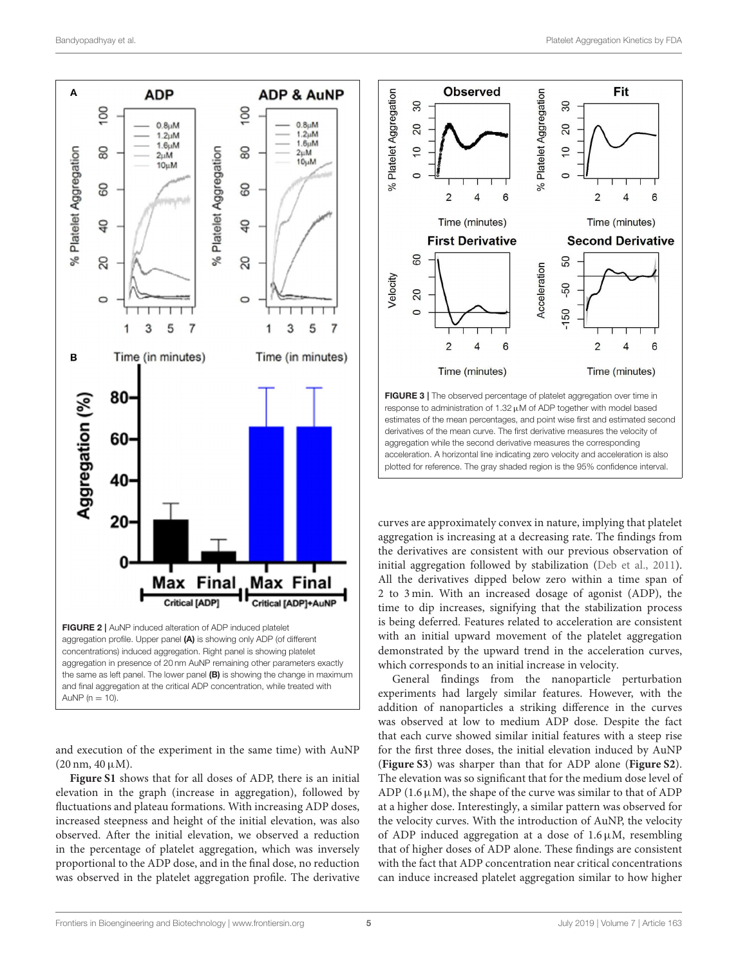

<span id="page-4-0"></span>and execution of the experiment in the same time) with AuNP  $(20 \text{ nm}, 40 \mu M)$ .

**[Figure S1](#page-9-12)** shows that for all doses of ADP, there is an initial elevation in the graph (increase in aggregation), followed by fluctuations and plateau formations. With increasing ADP doses, increased steepness and height of the initial elevation, was also observed. After the initial elevation, we observed a reduction in the percentage of platelet aggregation, which was inversely proportional to the ADP dose, and in the final dose, no reduction was observed in the platelet aggregation profile. The derivative



<span id="page-4-1"></span>FIGURE 3 | The observed percentage of platelet aggregation over time in response to administration of  $1.32 \mu$ M of ADP together with model based estimates of the mean percentages, and point wise first and estimated second derivatives of the mean curve. The first derivative measures the velocity of aggregation while the second derivative measures the corresponding acceleration. A horizontal line indicating zero velocity and acceleration is also plotted for reference. The gray shaded region is the 95% confidence interval.

curves are approximately convex in nature, implying that platelet aggregation is increasing at a decreasing rate. The findings from the derivatives are consistent with our previous observation of initial aggregation followed by stabilization [\(Deb et al., 2011\)](#page-9-6). All the derivatives dipped below zero within a time span of 2 to 3 min. With an increased dosage of agonist (ADP), the time to dip increases, signifying that the stabilization process is being deferred. Features related to acceleration are consistent with an initial upward movement of the platelet aggregation demonstrated by the upward trend in the acceleration curves, which corresponds to an initial increase in velocity.

General findings from the nanoparticle perturbation experiments had largely similar features. However, with the addition of nanoparticles a striking difference in the curves was observed at low to medium ADP dose. Despite the fact that each curve showed similar initial features with a steep rise for the first three doses, the initial elevation induced by AuNP (**[Figure S3](#page-9-12)**) was sharper than that for ADP alone (**[Figure S2](#page-9-12)**). The elevation was so significant that for the medium dose level of ADP ( $1.6 \mu$ M), the shape of the curve was similar to that of ADP at a higher dose. Interestingly, a similar pattern was observed for the velocity curves. With the introduction of AuNP, the velocity of ADP induced aggregation at a dose of  $1.6 \mu$ M, resembling that of higher doses of ADP alone. These findings are consistent with the fact that ADP concentration near critical concentrations can induce increased platelet aggregation similar to how higher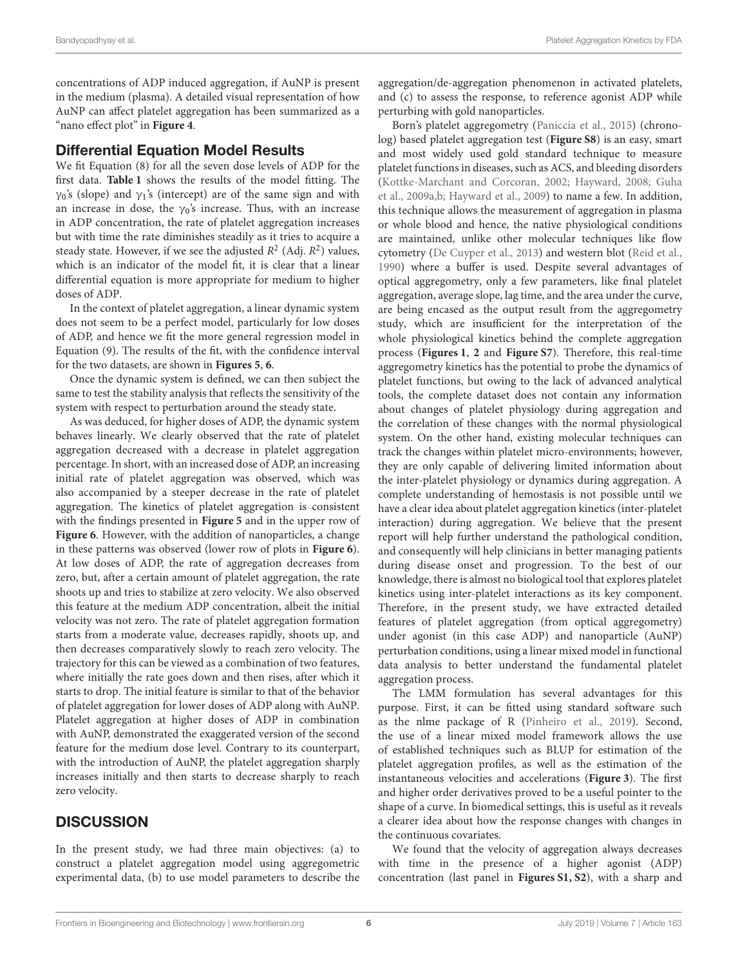concentrations of ADP induced aggregation, if AuNP is present in the medium (plasma). A detailed visual representation of how AuNP can affect platelet aggregation has been summarized as a "nano effect plot" in **[Figure 4](#page-6-0)**.

### Differential Equation Model Results

We fit Equation (8) for all the seven dose levels of ADP for the first data. **[Table 1](#page-6-1)** shows the results of the model fitting. The  $\gamma_0$ 's (slope) and  $\gamma_1$ 's (intercept) are of the same sign and with an increase in dose, the  $\gamma_0$ 's increase. Thus, with an increase in ADP concentration, the rate of platelet aggregation increases but with time the rate diminishes steadily as it tries to acquire a steady state. However, if we see the adjusted  $R^2$  (Adj.  $R^2$ ) values, which is an indicator of the model fit, it is clear that a linear differential equation is more appropriate for medium to higher doses of ADP.

In the context of platelet aggregation, a linear dynamic system does not seem to be a perfect model, particularly for low doses of ADP, and hence we fit the more general regression model in Equation (9). The results of the fit, with the confidence interval for the two datasets, are shown in **[Figures 5](#page-7-0)**, **[6](#page-7-1)**.

Once the dynamic system is defined, we can then subject the same to test the stability analysis that reflects the sensitivity of the system with respect to perturbation around the steady state.

As was deduced, for higher doses of ADP, the dynamic system behaves linearly. We clearly observed that the rate of platelet aggregation decreased with a decrease in platelet aggregation percentage. In short, with an increased dose of ADP, an increasing initial rate of platelet aggregation was observed, which was also accompanied by a steeper decrease in the rate of platelet aggregation. The kinetics of platelet aggregation is consistent with the findings presented in **[Figure 5](#page-7-0)** and in the upper row of **[Figure 6](#page-7-1)**. However, with the addition of nanoparticles, a change in these patterns was observed (lower row of plots in **[Figure 6](#page-7-1)**). At low doses of ADP, the rate of aggregation decreases from zero, but, after a certain amount of platelet aggregation, the rate shoots up and tries to stabilize at zero velocity. We also observed this feature at the medium ADP concentration, albeit the initial velocity was not zero. The rate of platelet aggregation formation starts from a moderate value, decreases rapidly, shoots up, and then decreases comparatively slowly to reach zero velocity. The trajectory for this can be viewed as a combination of two features, where initially the rate goes down and then rises, after which it starts to drop. The initial feature is similar to that of the behavior of platelet aggregation for lower doses of ADP along with AuNP. Platelet aggregation at higher doses of ADP in combination with AuNP, demonstrated the exaggerated version of the second feature for the medium dose level. Contrary to its counterpart, with the introduction of AuNP, the platelet aggregation sharply increases initially and then starts to decrease sharply to reach zero velocity.

## **DISCUSSION**

In the present study, we had three main objectives: (a) to construct a platelet aggregation model using aggregometric experimental data, (b) to use model parameters to describe the aggregation/de-aggregation phenomenon in activated platelets, and (c) to assess the response, to reference agonist ADP while perturbing with gold nanoparticles.

Born's platelet aggregometry [\(Paniccia et al., 2015\)](#page-10-8) (chronolog) based platelet aggregation test (**[Figure S8](#page-9-12)**) is an easy, smart and most widely used gold standard technique to measure platelet functions in diseases, such as ACS, and bleeding disorders [\(Kottke-Marchant and Corcoran, 2002;](#page-9-13) [Hayward, 2008;](#page-9-14) Guha et al., [2009a,](#page-9-15)[b;](#page-9-16) [Hayward et al., 2009\)](#page-9-17) to name a few. In addition, this technique allows the measurement of aggregation in plasma or whole blood and hence, the native physiological conditions are maintained, unlike other molecular techniques like flow cytometry [\(De Cuyper et al., 2013\)](#page-9-18) and western blot [\(Reid et al.,](#page-10-9) [1990\)](#page-10-9) where a buffer is used. Despite several advantages of optical aggregometry, only a few parameters, like final platelet aggregation, average slope, lag time, and the area under the curve, are being encased as the output result from the aggregometry study, which are insufficient for the interpretation of the whole physiological kinetics behind the complete aggregation process (**[Figures 1](#page-3-0)**, **[2](#page-4-0)** and **[Figure S7](#page-9-12)**). Therefore, this real-time aggregometry kinetics has the potential to probe the dynamics of platelet functions, but owing to the lack of advanced analytical tools, the complete dataset does not contain any information about changes of platelet physiology during aggregation and the correlation of these changes with the normal physiological system. On the other hand, existing molecular techniques can track the changes within platelet micro-environments; however, they are only capable of delivering limited information about the inter-platelet physiology or dynamics during aggregation. A complete understanding of hemostasis is not possible until we have a clear idea about platelet aggregation kinetics (inter-platelet interaction) during aggregation. We believe that the present report will help further understand the pathological condition, and consequently will help clinicians in better managing patients during disease onset and progression. To the best of our knowledge, there is almost no biological tool that explores platelet kinetics using inter-platelet interactions as its key component. Therefore, in the present study, we have extracted detailed features of platelet aggregation (from optical aggregometry) under agonist (in this case ADP) and nanoparticle (AuNP) perturbation conditions, using a linear mixed model in functional data analysis to better understand the fundamental platelet aggregation process.

The LMM formulation has several advantages for this purpose. First, it can be fitted using standard software such as the nlme package of R [\(Pinheiro et al., 2019\)](#page-10-10). Second, the use of a linear mixed model framework allows the use of established techniques such as BLUP for estimation of the platelet aggregation profiles, as well as the estimation of the instantaneous velocities and accelerations (**[Figure 3](#page-4-1)**). The first and higher order derivatives proved to be a useful pointer to the shape of a curve. In biomedical settings, this is useful as it reveals a clearer idea about how the response changes with changes in the continuous covariates.

We found that the velocity of aggregation always decreases with time in the presence of a higher agonist (ADP) concentration (last panel in **[Figures S1, S2](#page-9-12)**), with a sharp and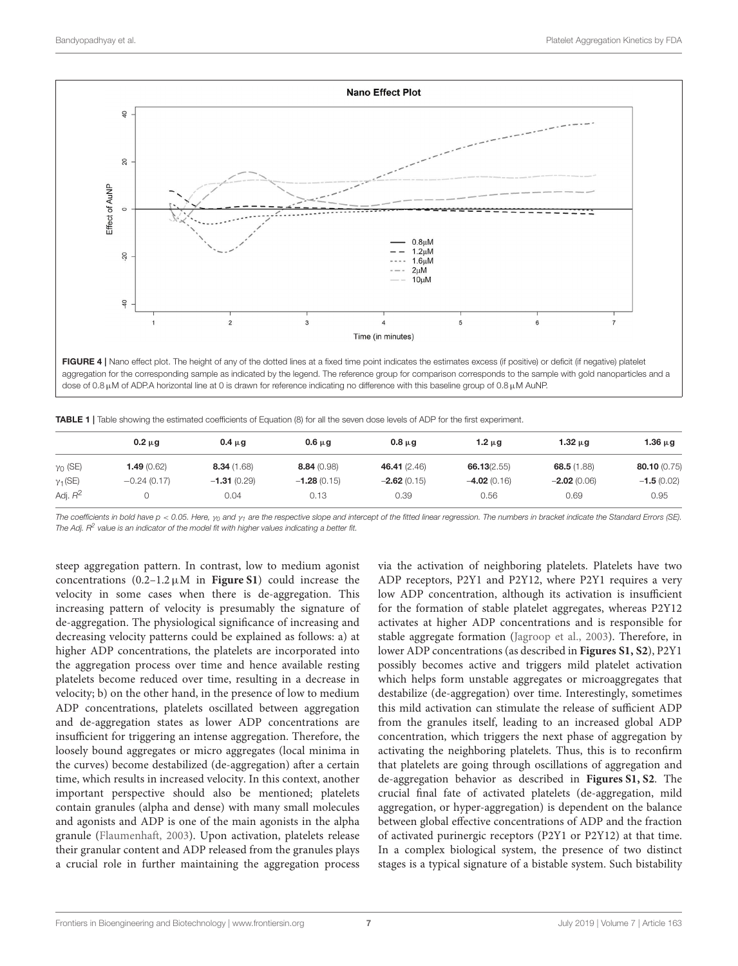

<span id="page-6-0"></span>TABLE 1 | Table showing the estimated coefficients of Equation (8) for all the seven dose levels of ADP for the first experiment.

<span id="page-6-1"></span>

|                 | $0.2 \mu g$   | $0.4 \mu g$   | $0.6 \mu g$   | $0.8 \mu g$   | 1.2 µց        | 1.32 $\mu$ g  | 1.36 μg      |
|-----------------|---------------|---------------|---------------|---------------|---------------|---------------|--------------|
| $\gamma_0$ (SE) | 1.49(0.62)    | 8.34(1.68)    | 8.84(0.98)    | 46.41 (2.46)  | 66.13(2.55)   | 68.5 (1.88)   | 80.10(0.75)  |
| $\gamma_1$ (SE) | $-0.24(0.17)$ | $-1.31(0.29)$ | $-1.28(0.15)$ | $-2.62(0.15)$ | $-4.02(0.16)$ | $-2.02(0.06)$ | $-1.5(0.02)$ |
| Adj. $R^2$      |               | 0.04          | 0.13          | 0.39          | 0.56          | 0.69          | 0.95         |

The coefficients in bold have  $p < 0.05$ . Here,  $\gamma_0$  and  $\gamma_1$  are the respective slope and intercept of the fitted linear regression. The numbers in bracket indicate the Standard Errors (SE). The Adj.  $R^2$  value is an indicator of the model fit with higher values indicating a better fit.

steep aggregation pattern. In contrast, low to medium agonist concentrations  $(0.2-1.2 \mu M)$  in **[Figure S1](#page-9-12)**) could increase the velocity in some cases when there is de-aggregation. This increasing pattern of velocity is presumably the signature of de-aggregation. The physiological significance of increasing and decreasing velocity patterns could be explained as follows: a) at higher ADP concentrations, the platelets are incorporated into the aggregation process over time and hence available resting platelets become reduced over time, resulting in a decrease in velocity; b) on the other hand, in the presence of low to medium ADP concentrations, platelets oscillated between aggregation and de-aggregation states as lower ADP concentrations are insufficient for triggering an intense aggregation. Therefore, the loosely bound aggregates or micro aggregates (local minima in the curves) become destabilized (de-aggregation) after a certain time, which results in increased velocity. In this context, another important perspective should also be mentioned; platelets contain granules (alpha and dense) with many small molecules and agonists and ADP is one of the main agonists in the alpha granule [\(Flaumenhaft, 2003\)](#page-9-19). Upon activation, platelets release their granular content and ADP released from the granules plays a crucial role in further maintaining the aggregation process

via the activation of neighboring platelets. Platelets have two ADP receptors, P2Y1 and P2Y12, where P2Y1 requires a very low ADP concentration, although its activation is insufficient for the formation of stable platelet aggregates, whereas P2Y12 activates at higher ADP concentrations and is responsible for stable aggregate formation [\(Jagroop et al., 2003\)](#page-9-1). Therefore, in lower ADP concentrations (as described in **[Figures S1, S2](#page-9-12)**), P2Y1 possibly becomes active and triggers mild platelet activation which helps form unstable aggregates or microaggregates that destabilize (de-aggregation) over time. Interestingly, sometimes this mild activation can stimulate the release of sufficient ADP from the granules itself, leading to an increased global ADP concentration, which triggers the next phase of aggregation by activating the neighboring platelets. Thus, this is to reconfirm that platelets are going through oscillations of aggregation and de-aggregation behavior as described in **[Figures S1, S2](#page-9-12)**. The crucial final fate of activated platelets (de-aggregation, mild aggregation, or hyper-aggregation) is dependent on the balance between global effective concentrations of ADP and the fraction of activated purinergic receptors (P2Y1 or P2Y12) at that time. In a complex biological system, the presence of two distinct stages is a typical signature of a bistable system. Such bistability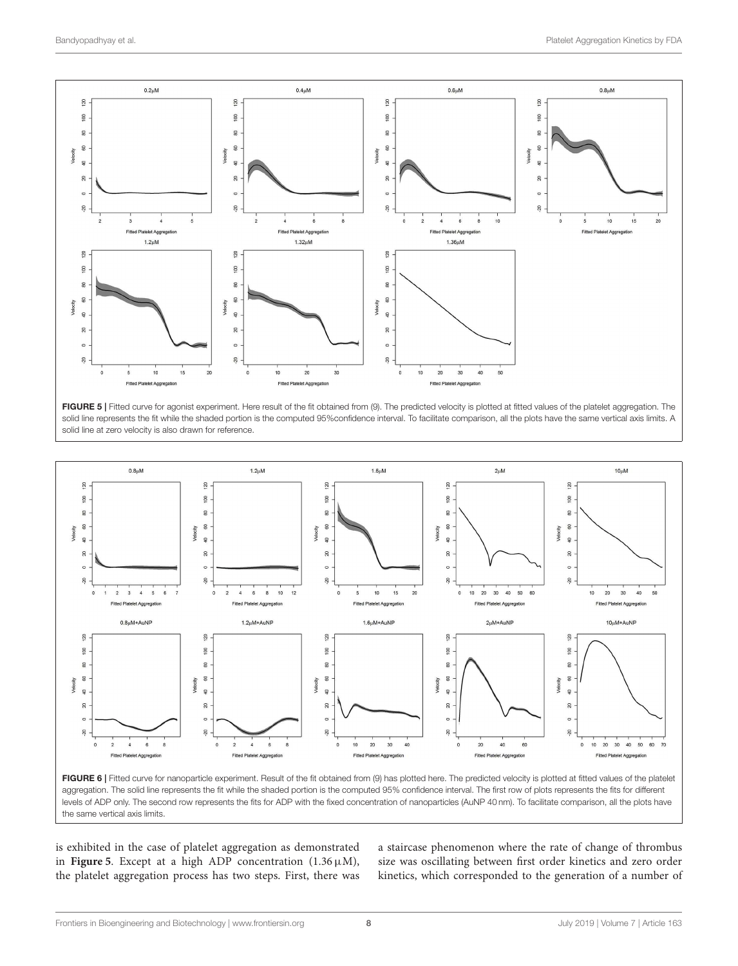

<span id="page-7-0"></span>FIGURE 5 | Fitted curve for agonist experiment. Here result of the fit obtained from (9). The predicted velocity is plotted at fitted values of the platelet aggregation. The solid line represents the fit while the shaded portion is the computed 95%confidence interval. To facilitate comparison, all the plots have the same vertical axis limits. A solid line at zero velocity is also drawn for reference.



<span id="page-7-1"></span>FIGURE 6 | Fitted curve for nanoparticle experiment. Result of the fit obtained from (9) has plotted here. The predicted velocity is plotted at fitted values of the platelet aggregation. The solid line represents the fit while the shaded portion is the computed 95% confidence interval. The first row of plots represents the fits for different levels of ADP only. The second row represents the fits for ADP with the fixed concentration of nanoparticles (AuNP 40 nm). To facilitate comparison, all the plots have the same vertical axis limits.

is exhibited in the case of platelet aggregation as demonstrated in **[Figure 5](#page-7-0)**. Except at a high ADP concentration  $(1.36 \,\mu\text{M})$ , the platelet aggregation process has two steps. First, there was a staircase phenomenon where the rate of change of thrombus size was oscillating between first order kinetics and zero order kinetics, which corresponded to the generation of a number of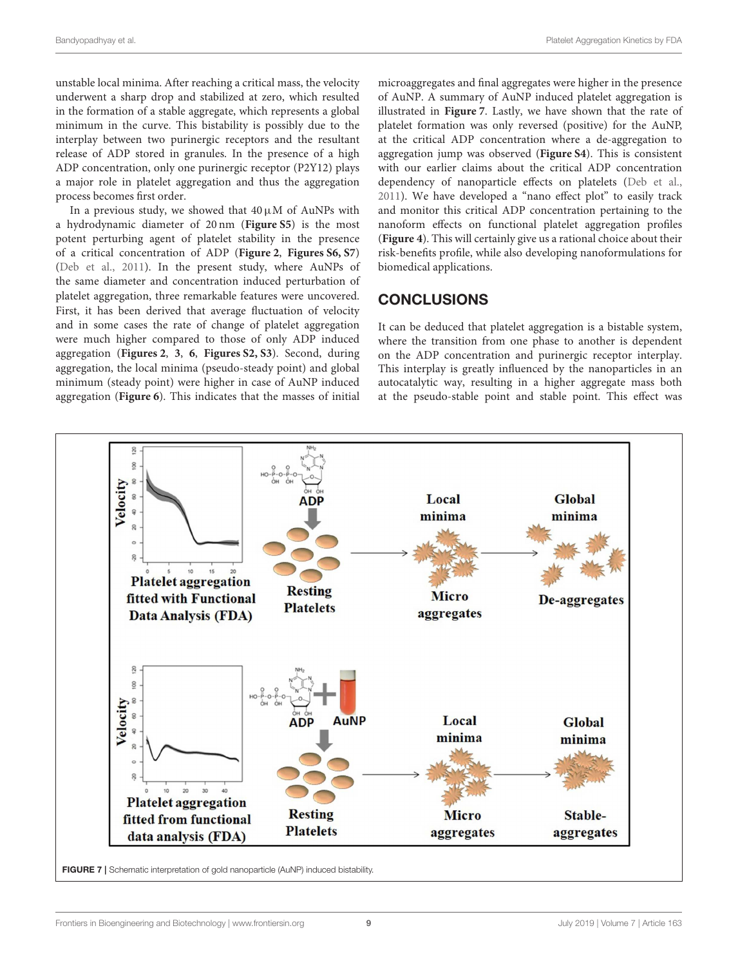unstable local minima. After reaching a critical mass, the velocity underwent a sharp drop and stabilized at zero, which resulted in the formation of a stable aggregate, which represents a global minimum in the curve. This bistability is possibly due to the interplay between two purinergic receptors and the resultant release of ADP stored in granules. In the presence of a high ADP concentration, only one purinergic receptor (P2Y12) plays a major role in platelet aggregation and thus the aggregation process becomes first order.

In a previous study, we showed that  $40 \mu M$  of AuNPs with a hydrodynamic diameter of 20 nm (**[Figure S5](#page-9-12)**) is the most potent perturbing agent of platelet stability in the presence of a critical concentration of ADP (**[Figure 2](#page-4-0)**, **[Figures S6, S7](#page-9-12)**) [\(Deb et al., 2011\)](#page-9-6). In the present study, where AuNPs of the same diameter and concentration induced perturbation of platelet aggregation, three remarkable features were uncovered. First, it has been derived that average fluctuation of velocity and in some cases the rate of change of platelet aggregation were much higher compared to those of only ADP induced aggregation (**[Figures 2](#page-4-0)**, **[3](#page-4-1)**, **[6](#page-7-1)**, **[Figures S2, S3](#page-9-12)**). Second, during aggregation, the local minima (pseudo-steady point) and global minimum (steady point) were higher in case of AuNP induced aggregation (**[Figure 6](#page-7-1)**). This indicates that the masses of initial

microaggregates and final aggregates were higher in the presence of AuNP. A summary of AuNP induced platelet aggregation is illustrated in **[Figure 7](#page-8-0)**. Lastly, we have shown that the rate of platelet formation was only reversed (positive) for the AuNP, at the critical ADP concentration where a de-aggregation to aggregation jump was observed (**[Figure S4](#page-9-12)**). This is consistent with our earlier claims about the critical ADP concentration dependency of nanoparticle effects on platelets [\(Deb et al.,](#page-9-6) [2011\)](#page-9-6). We have developed a "nano effect plot" to easily track and monitor this critical ADP concentration pertaining to the nanoform effects on functional platelet aggregation profiles (**[Figure 4](#page-6-0)**). This will certainly give us a rational choice about their risk-benefits profile, while also developing nanoformulations for biomedical applications.

# **CONCLUSIONS**

It can be deduced that platelet aggregation is a bistable system, where the transition from one phase to another is dependent on the ADP concentration and purinergic receptor interplay. This interplay is greatly influenced by the nanoparticles in an autocatalytic way, resulting in a higher aggregate mass both at the pseudo-stable point and stable point. This effect was

<span id="page-8-0"></span>